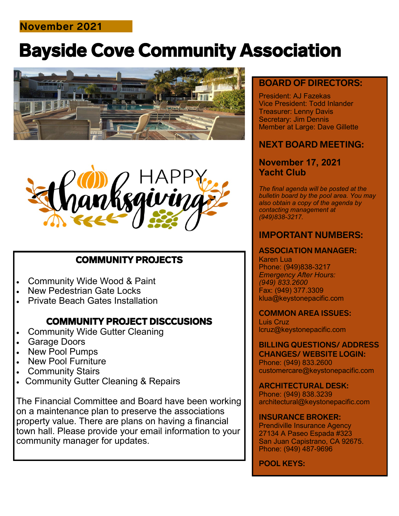## **November 2021**

# Bayside Cove Community Association





## COMMUNITY PROJECTS

- Community Wide Wood & Paint
- **New Pedestrian Gate Locks**
- Private Beach Gates Installation

## COMMUNITY PROJECT DISCCUSIONS

- **Community Wide Gutter Cleaning**
- Garage Doors
- New Pool Pumps
- New Pool Furniture
- **Community Stairs**
- Community Gutter Cleaning & Repairs

The Financial Committee and Board have been working on a maintenance plan to preserve the associations property value. There are plans on having a financial town hall. Please provide your email information to your community manager for updates.

### **BOARD OF DIRECTORS:**

President: AJ Fazekas Vice President: Todd Inlander Treasurer: Lenny Davis Secretary: Jim Dennis Member at Large: Dave Gillette

## **NEXT BOARD MEETING:**

#### **November 17, 2021 Yacht Club**

*The final agenda will be posted at the bulletin board by the pool area. You may also obtain a copy of the agenda by contacting management at (949)838-3217.*

## **IMPORTANT NUMBERS:**

#### **ASSOCIATION MANAGER:**

Karen Lua Phone: (949)838-3217 *Emergency After Hours: (949) 833.2600* Fax: (949) 377.3309 klua@keystonepacific.com

#### **COMMON AREA ISSUES:**

Luis Cruz lcruz@keystonepacific.com

#### **BILLING QUESTIONS/ ADDRESS CHANGES/ WEBSITE LOGIN:** Phone: (949) 833.2600 customercare@keystonepacific.com

**ARCHITECTURAL DESK:** Phone: (949) 838.3239 architectural@keystonepacific.com

#### **INSURANCE BROKER:**

Prendiville Insurance Agency 27134 A Paseo Espada #323 San Juan Capistrano, CA 92675. Phone: (949) 487-9696

#### **POOL KEYS:**